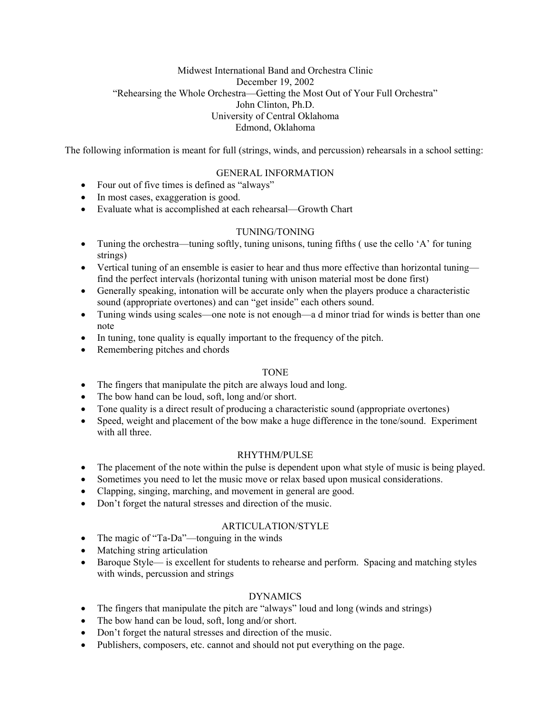## Midwest International Band and Orchestra Clinic December 19, 2002 "Rehearsing the Whole Orchestra—Getting the Most Out of Your Full Orchestra" John Clinton, Ph.D. University of Central Oklahoma Edmond, Oklahoma

The following information is meant for full (strings, winds, and percussion) rehearsals in a school setting:

### GENERAL INFORMATION

- Four out of five times is defined as "always"
- In most cases, exaggeration is good.
- Evaluate what is accomplished at each rehearsal—Growth Chart

#### TUNING/TONING

- Tuning the orchestra—tuning softly, tuning unisons, tuning fifths (use the cello 'A' for tuning strings)
- Vertical tuning of an ensemble is easier to hear and thus more effective than horizontal tuning find the perfect intervals (horizontal tuning with unison material most be done first)
- Generally speaking, intonation will be accurate only when the players produce a characteristic sound (appropriate overtones) and can "get inside" each others sound.
- Tuning winds using scales—one note is not enough—a d minor triad for winds is better than one note
- In tuning, tone quality is equally important to the frequency of the pitch.
- Remembering pitches and chords

#### TONE

- The fingers that manipulate the pitch are always loud and long.
- The bow hand can be loud, soft, long and/or short.
- Tone quality is a direct result of producing a characteristic sound (appropriate overtones)
- Speed, weight and placement of the bow make a huge difference in the tone/sound. Experiment with all three

#### RHYTHM/PULSE

- The placement of the note within the pulse is dependent upon what style of music is being played.
- Sometimes you need to let the music move or relax based upon musical considerations.
- Clapping, singing, marching, and movement in general are good.
- Don't forget the natural stresses and direction of the music.

#### ARTICULATION/STYLE

- The magic of "Ta-Da"—tonguing in the winds
- Matching string articulation
- Baroque Style— is excellent for students to rehearse and perform. Spacing and matching styles with winds, percussion and strings

# DYNAMICS

- The fingers that manipulate the pitch are "always" loud and long (winds and strings)
- The bow hand can be loud, soft, long and/or short.
- Don't forget the natural stresses and direction of the music.
- Publishers, composers, etc. cannot and should not put everything on the page.